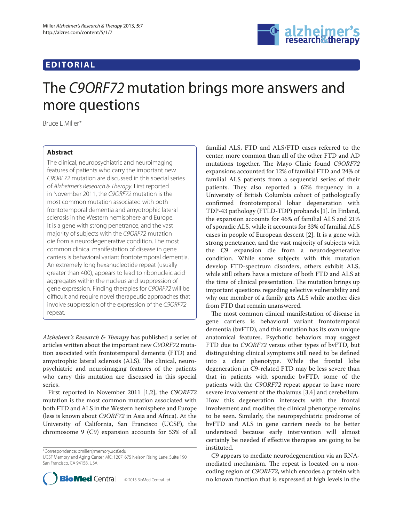## **EDITORIAL**



# The C9ORF72 mutation brings more answers and more questions

Bruce L Miller\*

### **Abstract**

The clinical, neuropsychiatric and neuroimaging features of patients who carry the important new C9ORF72 mutation are discussed in this special series of Alzheimer's Research & Therapy. First reported in November 2011, the C9ORF72 mutation is the most common mutation associated with both frontotemporal dementia and amyotrophic lateral sclerosis in the Western hemisphere and Europe. It is a gene with strong penetrance, and the vast majority of subjects with the C9ORF72 mutation die from a neurodegenerative condition. The most common clinical manifestation of disease in gene carriers is behavioral variant frontotemporal dementia. An extremely long hexanucleotide repeat (usually greater than 400), appears to lead to ribonucleic acid aggregates within the nucleus and suppression of gene expression. Finding therapies for C9ORF72 will be difficult and require novel therapeutic approaches that involve suppression of the expression of the C9ORF72 repeat.

*Alzheimer's Research & Therapy* has published a series of articles written about the important new *C9ORF72* mutation associated with frontotemporal dementia (FTD) and amyotrophic lateral sclerosis (ALS). The clinical, neuropsychiatric and neuroimaging features of the patients who carry this mutation are discussed in this special series.

First reported in November 2011 [1,2], the *C9ORF72*  mutation is the most common mutation associated with both FTD and ALS in the Western hemisphere and Europe (less is known about *C9ORF72* in Asia and Africa). At the University of California, San Francisco (UCSF), the chromosome 9 (C9) expansion accounts for 53% of all

\*Correspondence: bmiller@memory.ucsf.edu

UCSF Memory and Aging Center, MC: 1207, 675 Nelson Rising Lane, Suite 190, San Francisco, CA 94158, USA



familial ALS, FTD and ALS/FTD cases referred to the center, more common than all of the other FTD and AD mutations together. The Mayo Clinic found *C9ORF72* expansions accounted for 12% of familial FTD and 24% of familial ALS patients from a sequential series of their patients. They also reported a 62% frequency in a University of British Columbia cohort of pathologically confirmed frontotemporal lobar degeneration with TDP-43 pathology (FTLD-TDP) probands [1]. In Finland, the expansion accounts for 46% of familial ALS and 21% of sporadic ALS, while it accounts for 33% of familial ALS cases in people of European descent [2]. It is a gene with strong penetrance, and the vast majority of subjects with the C9 expansion die from a neurodegenerative condition. While some subjects with this mutation develop FTD-spectrum disorders, others exhibit ALS, while still others have a mixture of both FTD and ALS at the time of clinical presentation. The mutation brings up important questions regarding selective vulnerability and why one member of a family gets ALS while another dies from FTD that remain unanswered.

The most common clinical manifestation of disease in gene carriers is behavioral variant frontotemporal dementia (bvFTD), and this mutation has its own unique anatomical features. Psychotic behaviors may suggest FTD due to *C9ORF72* versus other types of bvFTD, but distinguishing clinical symptoms still need to be defined into a clear phenotype. While the frontal lobe degeneration in C9-related FTD may be less severe than that in patients with sporadic bvFTD, some of the patients with the *C9ORF72* repeat appear to have more severe involvement of the thalamus [3,4] and cerebellum. How this degeneration intersects with the frontal involvement and modifies the clinical phenotype remains to be seen. Similarly, the neuropsychiatric prodrome of bvFTD and ALS in gene carriers needs to be better understood because early intervention will almost certainly be needed if effective therapies are going to be instituted.

C9 appears to mediate neurodegeneration via an RNAmediated mechanism. The repeat is located on a noncoding region of *C9ORF72*, which encodes a protein with no known function that is expressed at high levels in the